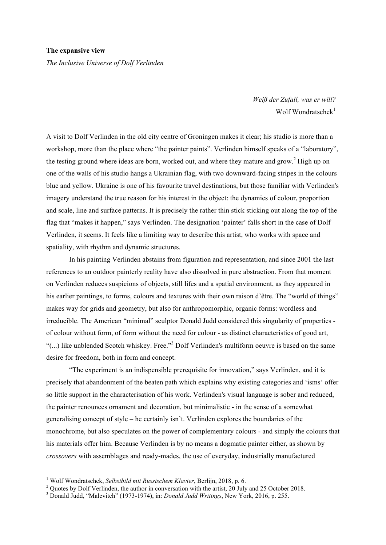*The Inclusive Universe of Dolf Verlinden*

*Weiß der Zufall, was er will?* Wolf Wondratschek $1$ 

A visit to Dolf Verlinden in the old city centre of Groningen makes it clear; his studio is more than a workshop, more than the place where "the painter paints". Verlinden himself speaks of a "laboratory", the testing ground where ideas are born, worked out, and where they mature and grow.<sup>2</sup> High up on one of the walls of his studio hangs a Ukrainian flag, with two downward-facing stripes in the colours blue and yellow. Ukraine is one of his favourite travel destinations, but those familiar with Verlinden's imagery understand the true reason for his interest in the object: the dynamics of colour, proportion and scale, line and surface patterns. It is precisely the rather thin stick sticking out along the top of the flag that "makes it happen," says Verlinden. The designation 'painter' falls short in the case of Dolf Verlinden, it seems. It feels like a limiting way to describe this artist, who works with space and spatiality, with rhythm and dynamic structures.

In his painting Verlinden abstains from figuration and representation, and since 2001 the last references to an outdoor painterly reality have also dissolved in pure abstraction. From that moment on Verlinden reduces suspicions of objects, still lifes and a spatial environment, as they appeared in his earlier paintings, to forms, colours and textures with their own raison d'être. The "world of things" makes way for grids and geometry, but also for anthropomorphic, organic forms: wordless and irreducible. The American "minimal" sculptor Donald Judd considered this singularity of properties of colour without form, of form without the need for colour - as distinct characteristics of good art, "(...) like unblended Scotch whiskey. Free." <sup>3</sup> Dolf Verlinden's multiform oeuvre is based on the same desire for freedom, both in form and concept.

"The experiment is an indispensible prerequisite for innovation," says Verlinden, and it is precisely that abandonment of the beaten path which explains why existing categories and 'isms' offer so little support in the characterisation of his work. Verlinden's visual language is sober and reduced, the painter renounces ornament and decoration, but minimalistic - in the sense of a somewhat generalising concept of style – he certainly isn't. Verlinden explores the boundaries of the monochrome, but also speculates on the power of complementary colours - and simply the colours that his materials offer him. Because Verlinden is by no means a dogmatic painter either, as shown by *crossovers* with assemblages and ready-mades, the use of everyday, industrially manufactured

<sup>&</sup>lt;sup>1</sup> Wolf Wondratschek, *Selbstbild mit Russischem Klavier*, Berlijn, 2018, p. 6.<br><sup>2</sup> Quotes by Dolf Verlinden, the author in conversation with the artist, 20 July and 25 October 2018.<br><sup>3</sup> Donald Judd, "Malevitch" (1973-19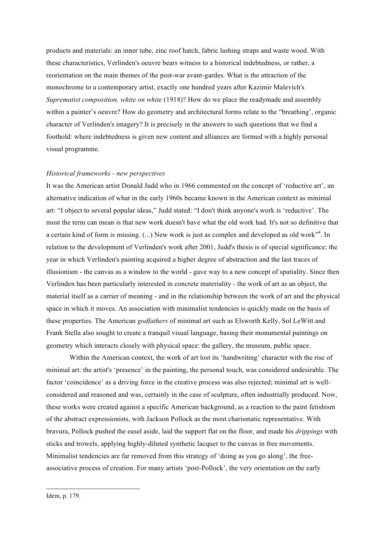products and materials: an inner tube, zinc roof hatch, fabric lashing straps and waste wood. With these characteristics, Verlinden's oeuvre bears witness to a historical indebtedness, or rather, a reorientation on the main themes of the post-war avant-gardes. What is the attraction of the monochrome to a contemporary artist, exactly one hundred years after Kazimir Malevich's *Suprematist composition, white on white* (1918)? How do we place the readymade and assembly within a painter's oeuvre? How do geometry and architectural forms relate to the "breathing', organic character of Verlinden's imagery? It is precisely in the answers to such questions that we find a foothold: where indebtedness is given new content and alliances are formed with a highly personal visual programme.

## *Historical frameworks - new perspectives*

It was the American artist Donald Judd who in 1966 commented on the concept of 'reductive art', an alternative indication of what in the early 1960s became known in the American context as minimal art: "I object to several popular ideas," Judd stated: "I don't think anyone's work is 'reductive'. The most the term can mean is that new work doesn't have what the old work had. It's not so definitive that a certain kind of form is missing. (...) New work is just as complex and developed as old work"<sup>4</sup>. In relation to the development of Verlinden's work after 2001, Judd's thesis is of special significance; the year in which Verlinden's painting acquired a higher degree of abstraction and the last traces of illusionism - the canvas as a window to the world - gave way to a new concept of spatiality. Since then Verlinden has been particularly interested in concrete materiality - the work of art as an object, the material itself as a carrier of meaning - and in the relationship between the work of art and the physical space in which it moves. An association with minimalist tendencies is quickly made on the basis of these properties. The American *godfathers* of minimal art such as Elsworth Kelly, Sol LeWitt and Frank Stella also sought to create a tranquil visual language, basing their monumental paintings on geometry which interacts closely with physical space: the gallery, the museum, public space.

Within the American context, the work of art lost its 'handwriting' character with the rise of minimal art: the artist's 'presence' in the painting, the personal touch, was considered undesirable. The factor 'coincidence' as a driving force in the creative process was also rejected; minimal art is wellconsidered and reasoned and was, certainly in the case of sculpture, often industrially produced. Now, these works were created against a specific American background, as a reaction to the paint fetishism of the abstract expressionists, with Jackson Pollock as the most charismatic representative. With bravura, Pollock pushed the easel aside, laid the support flat on the floor, and made his *drippings* with sticks and trowels, applying highly-diluted synthetic lacquer to the canvas in free movements. Minimalist tendencies are far removed from this strategy of 'doing as you go along', the freeassociative process of creation. For many artists 'post-Pollock', the very orientation on the early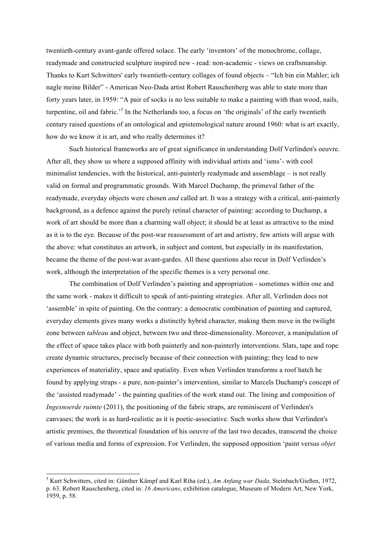twentieth-century avant-garde offered solace. The early 'inventors' of the monochrome, collage, readymade and constructed sculpture inspired new - read: non-academic - views on craftsmanship. Thanks to Kurt Schwitters' early twentieth-century collages of found objects – "Ich bin ein Mahler; ich nagle meine Bilder" - American Neo-Dada artist Robert Rauschenberg was able to state more than forty years later, in 1959: "A pair of socks is no less suitable to make a painting with than wood, nails, turpentine, oil and fabric.' <sup>5</sup> In the Netherlands too, a focus on 'the originals' of the early twentieth century raised questions of an ontological and epistemological nature around 1960: what is art exactly, how do we know it is art, and who really determines it?

Such historical frameworks are of great significance in understanding Dolf Verlinden's oeuvre. After all, they show us where a supposed affinity with individual artists and 'isms'- with cool minimalist tendencies, with the historical, anti-painterly readymade and assemblage – is not really valid on formal and programmatic grounds. With Marcel Duchamp, the primeval father of the readymade, everyday objects were chosen *and* called art. It was a strategy with a critical, anti-painterly background, as a defence against the purely retinal character of painting: according to Duchamp, a work of art should be more than a charming wall object; it should be at least as attractive to the mind as it is to the eye. Because of the post-war reassessment of art and artistry, few artists will argue with the above: what constitutes an artwork, in subject and content, but especially in its manifestation, became the theme of the post-war avant-gardes. All these questions also recur in Dolf Verlinden's work, although the interpretation of the specific themes is a very personal one.

The combination of Dolf Verlinden's painting and appropriation - sometimes within one and the same work - makes it difficult to speak of anti-painting strategies. After all, Verlinden does not 'assemble' in spite of painting. On the contrary: a democratic combination of painting and captured, everyday elements gives many works a distinctly hybrid character, making them move in the twilight zone between *tableau* and object, between two and three-dimensionality. Moreover, a manipulation of the effect of space takes place with both painterly and non-painterly interventions. Slats, tape and rope create dynamic structures, precisely because of their connection with painting; they lead to new experiences of materiality, space and spatiality. Even when Verlinden transforms a roof hatch he found by applying straps - a pure, non-painter's intervention, similar to Marcels Duchamp's concept of the 'assisted readymade' - the painting qualities of the work stand out. The lining and composition of *Ingesnoerde ruimte* (2011), the positioning of the fabric straps, are reminiscent of Verlinden's canvases; the work is as hard-realistic as it is poetic-associative. Such works show that Verlinden's artistic premises, the theoretical foundation of his oeuvre of the last two decades, transcend the choice of various media and forms of expression. For Verlinden, the supposed opposition 'paint versus *objet*

 <sup>5</sup> Kurt Schwitters, cited in: Günther Kämpf and Karl Riha (ed.), *Am Anfang war Dada*, Steinbach/Gießen, 1972, p. 63. Robert Rauschenberg, cited in: *16 Americans*, exhibition catalogue, Museum of Modern Art, New York, 1959, p. 58.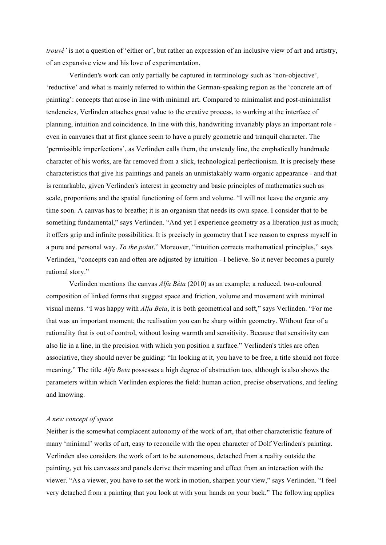*trouvé'* is not a question of 'either or', but rather an expression of an inclusive view of art and artistry, of an expansive view and his love of experimentation.

Verlinden's work can only partially be captured in terminology such as 'non-objective', 'reductive' and what is mainly referred to within the German-speaking region as the 'concrete art of painting': concepts that arose in line with minimal art. Compared to minimalist and post-minimalist tendencies, Verlinden attaches great value to the creative process, to working at the interface of planning, intuition and coincidence. In line with this, handwriting invariably plays an important role even in canvases that at first glance seem to have a purely geometric and tranquil character. The 'permissible imperfections', as Verlinden calls them, the unsteady line, the emphatically handmade character of his works, are far removed from a slick, technological perfectionism. It is precisely these characteristics that give his paintings and panels an unmistakably warm-organic appearance - and that is remarkable, given Verlinden's interest in geometry and basic principles of mathematics such as scale, proportions and the spatial functioning of form and volume. "I will not leave the organic any time soon. A canvas has to breathe; it is an organism that needs its own space. I consider that to be something fundamental," says Verlinden. "And yet I experience geometry as a liberation just as much; it offers grip and infinite possibilities. It is precisely in geometry that I see reason to express myself in a pure and personal way. *To the point*." Moreover, "intuition corrects mathematical principles," says Verlinden, "concepts can and often are adjusted by intuition - I believe. So it never becomes a purely rational story."

Verlinden mentions the canvas *Alfa Bèta* (2010) as an example; a reduced, two-coloured composition of linked forms that suggest space and friction, volume and movement with minimal visual means. "I was happy with *Alfa Beta*, it is both geometrical and soft," says Verlinden. "For me that was an important moment; the realisation you can be sharp within geometry. Without fear of a rationality that is out of control, without losing warmth and sensitivity. Because that sensitivity can also lie in a line, in the precision with which you position a surface." Verlinden's titles are often associative, they should never be guiding: "In looking at it, you have to be free, a title should not force meaning." The title *Alfa Beta* possesses a high degree of abstraction too, although is also shows the parameters within which Verlinden explores the field: human action, precise observations, and feeling and knowing.

## *A new concept of space*

Neither is the somewhat complacent autonomy of the work of art, that other characteristic feature of many 'minimal' works of art, easy to reconcile with the open character of Dolf Verlinden's painting. Verlinden also considers the work of art to be autonomous, detached from a reality outside the painting, yet his canvases and panels derive their meaning and effect from an interaction with the viewer. "As a viewer, you have to set the work in motion, sharpen your view," says Verlinden. "I feel very detached from a painting that you look at with your hands on your back." The following applies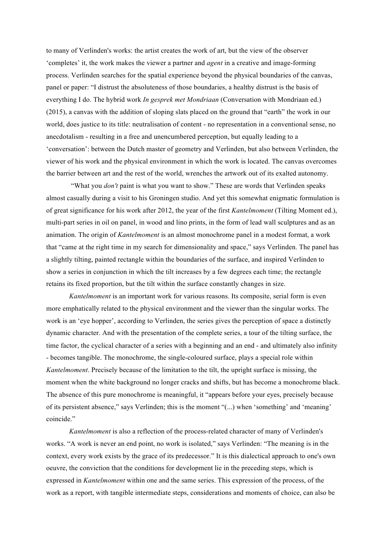to many of Verlinden's works: the artist creates the work of art, but the view of the observer 'completes' it, the work makes the viewer a partner and *agent* in a creative and image-forming process. Verlinden searches for the spatial experience beyond the physical boundaries of the canvas, panel or paper: "I distrust the absoluteness of those boundaries, a healthy distrust is the basis of everything I do. The hybrid work *In gesprek met Mondriaan* (Conversation with Mondriaan ed.) (2015), a canvas with the addition of sloping slats placed on the ground that "earth" the work in our world, does justice to its title: neutralisation of content - no representation in a conventional sense, no anecdotalism - resulting in a free and unencumbered perception, but equally leading to a 'conversation': between the Dutch master of geometry and Verlinden, but also between Verlinden, the viewer of his work and the physical environment in which the work is located. The canvas overcomes the barrier between art and the rest of the world, wrenches the artwork out of its exalted autonomy.

"What you *don't* paint is what you want to show." These are words that Verlinden speaks almost casually during a visit to his Groningen studio. And yet this somewhat enigmatic formulation is of great significance for his work after 2012, the year of the first *Kantelmoment* (Tilting Moment ed.), multi-part series in oil on panel, in wood and lino prints, in the form of lead wall sculptures and as an animation. The origin of *Kantelmoment* is an almost monochrome panel in a modest format, a work that "came at the right time in my search for dimensionality and space," says Verlinden. The panel has a slightly tilting, painted rectangle within the boundaries of the surface, and inspired Verlinden to show a series in conjunction in which the tilt increases by a few degrees each time; the rectangle retains its fixed proportion, but the tilt within the surface constantly changes in size.

*Kantelmoment* is an important work for various reasons. Its composite, serial form is even more emphatically related to the physical environment and the viewer than the singular works. The work is an 'eye hopper', according to Verlinden, the series gives the perception of space a distinctly dynamic character. And with the presentation of the complete series, a tour of the tilting surface, the time factor, the cyclical character of a series with a beginning and an end - and ultimately also infinity - becomes tangible. The monochrome, the single-coloured surface, plays a special role within *Kantelmoment*. Precisely because of the limitation to the tilt, the upright surface is missing, the moment when the white background no longer cracks and shifts, but has become a monochrome black. The absence of this pure monochrome is meaningful, it "appears before your eyes, precisely because of its persistent absence," says Verlinden; this is the moment "(...) when 'something' and 'meaning' coincide."

*Kantelmoment* is also a reflection of the process-related character of many of Verlinden's works. "A work is never an end point, no work is isolated," says Verlinden: "The meaning is in the context, every work exists by the grace of its predecessor." It is this dialectical approach to one's own oeuvre, the conviction that the conditions for development lie in the preceding steps, which is expressed in *Kantelmoment* within one and the same series. This expression of the process, of the work as a report, with tangible intermediate steps, considerations and moments of choice, can also be